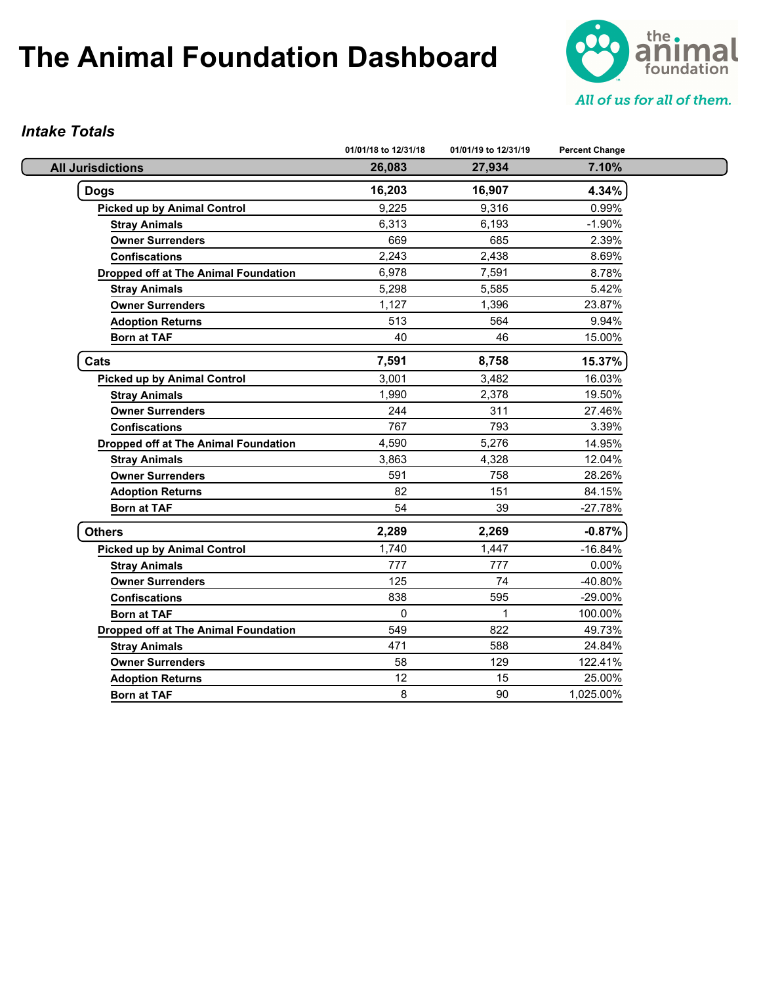

#### *Intake Totals*

|                                             | 01/01/18 to 12/31/18 | 01/01/19 to 12/31/19 | <b>Percent Change</b> |
|---------------------------------------------|----------------------|----------------------|-----------------------|
| <b>All Jurisdictions</b>                    | 26,083               | 27,934               | 7.10%                 |
| <b>Dogs</b>                                 | 16,203               | 16,907               | 4.34%                 |
| <b>Picked up by Animal Control</b>          | 9,225                | 9.316                | 0.99%                 |
| <b>Stray Animals</b>                        | 6,313                | 6,193                | $-1.90%$              |
| <b>Owner Surrenders</b>                     | 669                  | 685                  | 2.39%                 |
| <b>Confiscations</b>                        | 2,243                | 2,438                | 8.69%                 |
| <b>Dropped off at The Animal Foundation</b> | 6,978                | 7,591                | 8.78%                 |
| <b>Stray Animals</b>                        | 5,298                | 5,585                | 5.42%                 |
| <b>Owner Surrenders</b>                     | 1,127                | 1,396                | 23.87%                |
| <b>Adoption Returns</b>                     | 513                  | 564                  | 9.94%                 |
| <b>Born at TAF</b>                          | 40                   | 46                   | 15.00%                |
| Cats                                        | 7,591                | 8,758                | 15.37%                |
| <b>Picked up by Animal Control</b>          | 3,001                | 3,482                | 16.03%                |
| <b>Stray Animals</b>                        | 1,990                | 2,378                | 19.50%                |
| <b>Owner Surrenders</b>                     | 244                  | 311                  | 27.46%                |
| <b>Confiscations</b>                        | 767                  | 793                  | 3.39%                 |
| Dropped off at The Animal Foundation        | 4,590                | 5,276                | 14.95%                |
| <b>Stray Animals</b>                        | 3,863                | 4,328                | 12.04%                |
| <b>Owner Surrenders</b>                     | 591                  | 758                  | 28.26%                |
| <b>Adoption Returns</b>                     | 82                   | 151                  | 84.15%                |
| <b>Born at TAF</b>                          | 54                   | 39                   | $-27.78%$             |
| <b>Others</b>                               | 2,289                | 2,269                | $-0.87%$              |
| <b>Picked up by Animal Control</b>          | 1,740                | 1,447                | $-16.84%$             |
| <b>Stray Animals</b>                        | 777                  | 777                  | 0.00%                 |
| <b>Owner Surrenders</b>                     | 125                  | 74                   | -40.80%               |
| <b>Confiscations</b>                        | 838                  | 595                  | -29.00%               |
| <b>Born at TAF</b>                          | $\Omega$             | 1                    | 100.00%               |
| <b>Dropped off at The Animal Foundation</b> | 549                  | 822                  | 49.73%                |
| <b>Stray Animals</b>                        | 471                  | 588                  | 24.84%                |
| <b>Owner Surrenders</b>                     | 58                   | 129                  | 122.41%               |
| <b>Adoption Returns</b>                     | 12                   | 15                   | 25.00%                |
| <b>Born at TAF</b>                          | 8                    | 90                   | 1,025.00%             |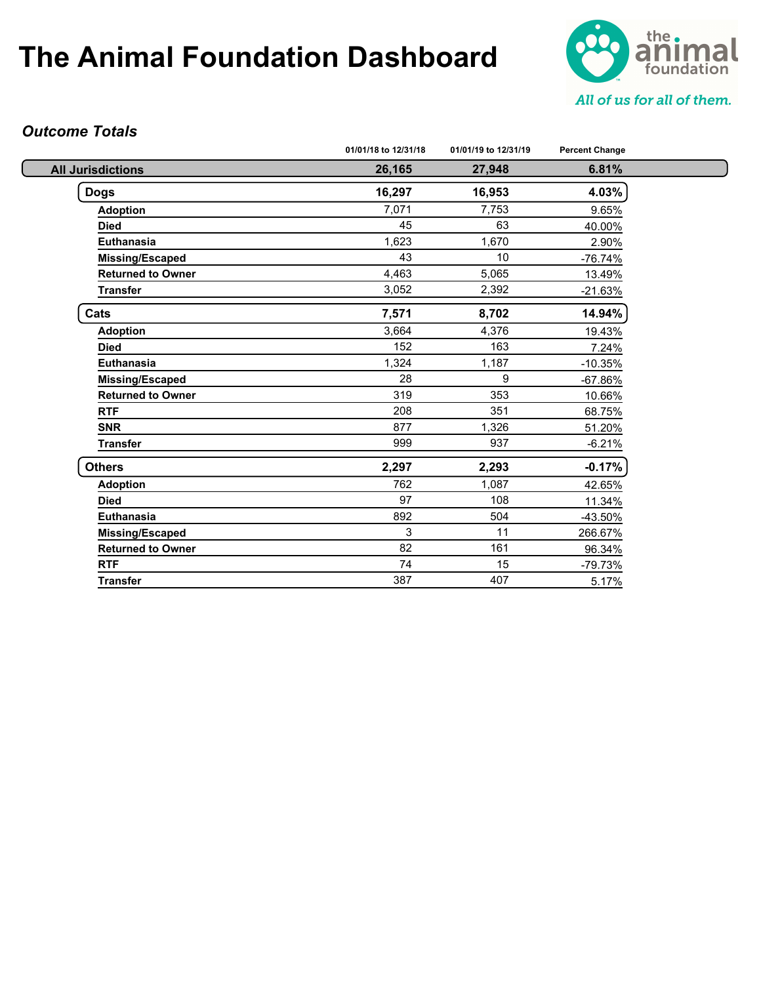

#### *Outcome Totals*

|                          | 01/01/18 to 12/31/18 | 01/01/19 to 12/31/19 | <b>Percent Change</b> |
|--------------------------|----------------------|----------------------|-----------------------|
| <b>All Jurisdictions</b> | 26,165               | 27,948               | 6.81%                 |
| <b>Dogs</b>              | 16,297               | 16,953               | 4.03%                 |
| <b>Adoption</b>          | 7,071                | 7,753                | 9.65%                 |
| <b>Died</b>              | 45                   | 63                   | 40.00%                |
| Euthanasia               | 1,623                | 1,670                | 2.90%                 |
| Missing/Escaped          | 43                   | 10                   | $-76.74%$             |
| <b>Returned to Owner</b> | 4,463                | 5,065                | 13.49%                |
| <b>Transfer</b>          | 3,052                | 2,392                | $-21.63%$             |
| Cats                     | 7,571                | 8,702                | 14.94%                |
| <b>Adoption</b>          | 3,664                | 4,376                | 19.43%                |
| <b>Died</b>              | 152                  | 163                  | 7.24%                 |
| <b>Euthanasia</b>        | 1,324                | 1,187                | $-10.35%$             |
| <b>Missing/Escaped</b>   | 28                   | 9                    | $-67.86%$             |
| <b>Returned to Owner</b> | 319                  | 353                  | 10.66%                |
| <b>RTF</b>               | 208                  | 351                  | 68.75%                |
| <b>SNR</b>               | 877                  | 1,326                | 51.20%                |
| <b>Transfer</b>          | 999                  | 937                  | $-6.21%$              |
| <b>Others</b>            | 2,297                | 2,293                | $-0.17%$              |
| <b>Adoption</b>          | 762                  | 1,087                | 42.65%                |
| <b>Died</b>              | 97                   | 108                  | 11.34%                |
| <b>Euthanasia</b>        | 892                  | 504                  | -43.50%               |
| <b>Missing/Escaped</b>   | 3                    | 11                   | 266.67%               |
| <b>Returned to Owner</b> | 82                   | 161                  | 96.34%                |
| <b>RTF</b>               | 74                   | 15                   | $-79.73%$             |
| <b>Transfer</b>          | 387                  | 407                  | 5.17%                 |
|                          |                      |                      |                       |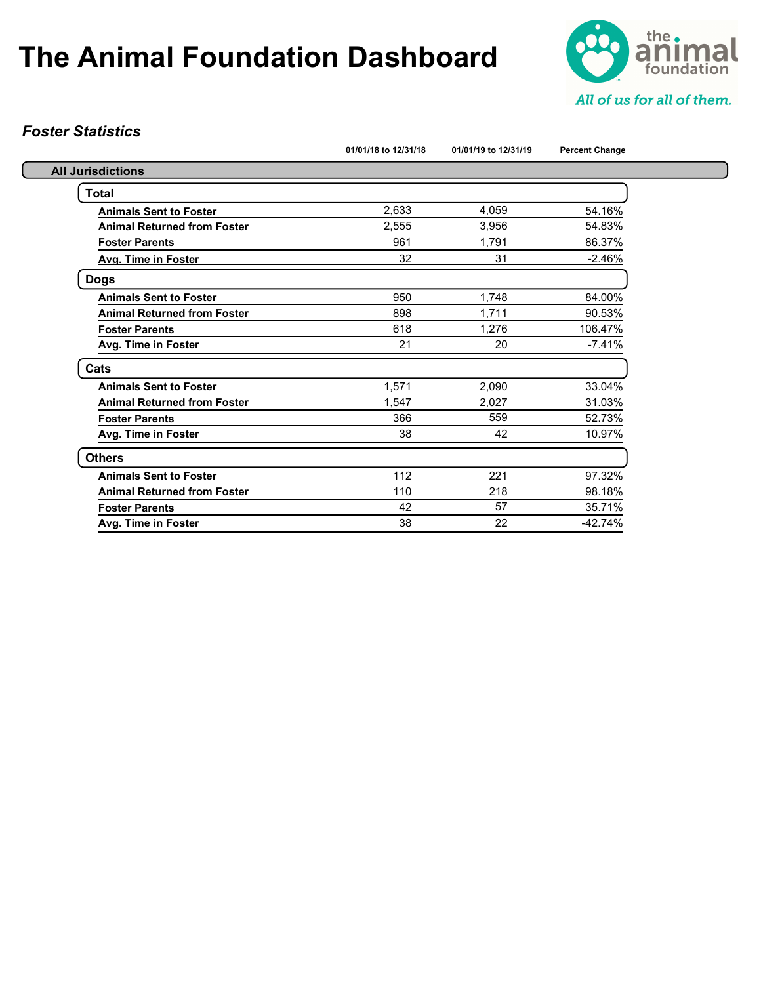

### *Foster Statistics*

|                                    | 01/01/18 to 12/31/18 | 01/01/19 to 12/31/19 | <b>Percent Change</b> |
|------------------------------------|----------------------|----------------------|-----------------------|
| <b>All Jurisdictions</b>           |                      |                      |                       |
| Total                              |                      |                      |                       |
| <b>Animals Sent to Foster</b>      | 2,633                | 4,059                | 54.16%                |
| <b>Animal Returned from Foster</b> | 2.555                | 3.956                | 54.83%                |
| <b>Foster Parents</b>              | 961                  | 1,791                | 86.37%                |
| Avg. Time in Foster                | 32                   | 31                   | $-2.46%$              |
| <b>Dogs</b>                        |                      |                      |                       |
| <b>Animals Sent to Foster</b>      | 950                  | 1.748                | 84.00%                |
| <b>Animal Returned from Foster</b> | 898                  | 1.711                | 90.53%                |
| <b>Foster Parents</b>              | 618                  | 1,276                | 106.47%               |
| Avg. Time in Foster                | 21                   | 20                   | $-7.41%$              |
| Cats                               |                      |                      |                       |
| <b>Animals Sent to Foster</b>      | 1,571                | 2,090                | 33.04%                |
| <b>Animal Returned from Foster</b> | 1.547                | 2,027                | 31.03%                |
| <b>Foster Parents</b>              | 366                  | 559                  | 52.73%                |
| Avg. Time in Foster                | 38                   | 42                   | 10.97%                |
| <b>Others</b>                      |                      |                      |                       |
| <b>Animals Sent to Foster</b>      | 112                  | 221                  | 97.32%                |
| <b>Animal Returned from Foster</b> | 110                  | 218                  | 98.18%                |
| <b>Foster Parents</b>              | 42                   | 57                   | 35.71%                |
| Avg. Time in Foster                | 38                   | 22                   | $-42.74%$             |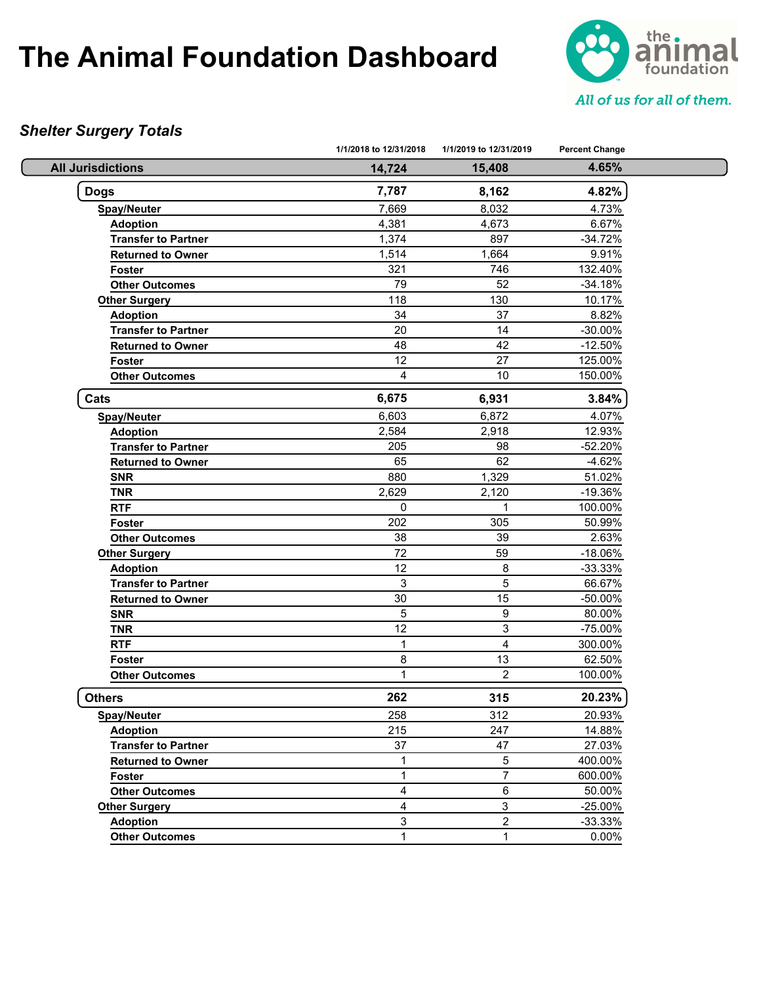

### *Shelter Surgery Totals*

|                            | 1/1/2018 to 12/31/2018 | 1/1/2019 to 12/31/2019 | <b>Percent Change</b> |  |
|----------------------------|------------------------|------------------------|-----------------------|--|
| <b>All Jurisdictions</b>   | 14,724                 | 15,408                 | 4.65%                 |  |
| <b>Dogs</b>                | 7,787                  | 8,162                  | 4.82%                 |  |
| Spay/Neuter                | 7,669                  | 8,032                  | 4.73%                 |  |
| <b>Adoption</b>            | 4,381                  | 4,673                  | 6.67%                 |  |
| <b>Transfer to Partner</b> | 1,374                  | 897                    | $-34.72%$             |  |
| <b>Returned to Owner</b>   | 1,514                  | 1,664                  | 9.91%                 |  |
| <b>Foster</b>              | 321                    | 746                    | 132.40%               |  |
| <b>Other Outcomes</b>      | 79                     | 52                     | $-34.18%$             |  |
| <b>Other Surgery</b>       | 118                    | 130                    | 10.17%                |  |
| <b>Adoption</b>            | 34                     | 37                     | 8.82%                 |  |
| <b>Transfer to Partner</b> | 20                     | 14                     | $-30.00\%$            |  |
| <b>Returned to Owner</b>   | 48                     | 42                     | $-12.50%$             |  |
| Foster                     | 12                     | 27                     | 125.00%               |  |
| <b>Other Outcomes</b>      | $\overline{4}$         | 10                     | 150.00%               |  |
| Cats                       | 6,675                  | 6,931                  | 3.84%                 |  |
| <b>Spay/Neuter</b>         | 6,603                  | 6,872                  | 4.07%                 |  |
| <b>Adoption</b>            | 2,584                  | 2,918                  | 12.93%                |  |
| <b>Transfer to Partner</b> | 205                    | 98                     | $-52.20%$             |  |
| <b>Returned to Owner</b>   | 65                     | 62                     | $-4.62%$              |  |
| <b>SNR</b>                 | 880                    | 1,329                  | 51.02%                |  |
| <b>TNR</b>                 | 2,629                  | 2,120                  | -19.36%               |  |
| <b>RTF</b>                 | 0                      | 1                      | 100.00%               |  |
| Foster                     | 202                    | 305                    | 50.99%                |  |
| <b>Other Outcomes</b>      | 38                     | 39                     | 2.63%                 |  |
| <b>Other Surgery</b>       | 72                     | 59                     | $-18.06%$             |  |
| <b>Adoption</b>            | 12                     | 8                      | $-33.33%$             |  |
| <b>Transfer to Partner</b> | 3                      | $\sqrt{5}$             | 66.67%                |  |
| <b>Returned to Owner</b>   | 30                     | 15                     | -50.00%               |  |
| <b>SNR</b>                 | 5                      | 9                      | 80.00%                |  |
| <b>TNR</b>                 | 12                     | 3                      | -75.00%               |  |
| <b>RTF</b>                 | $\mathbf{1}$           | $\overline{4}$         | 300.00%               |  |
| Foster                     | 8                      | 13                     | 62.50%                |  |
| <b>Other Outcomes</b>      | $\mathbf{1}$           | $\overline{2}$         | 100.00%               |  |
| <b>Others</b>              | 262                    | 315                    | 20.23%                |  |
| <b>Spay/Neuter</b>         | 258                    | 312                    | 20.93%                |  |
| <b>Adoption</b>            | 215                    | 247                    | 14.88%                |  |
| <b>Transfer to Partner</b> | 37                     | 47                     | 27.03%                |  |
| <b>Returned to Owner</b>   | 1                      | $\,$ 5 $\,$            | 400.00%               |  |
| Foster                     | $\mathbf{1}$           | $\overline{7}$         | 600.00%               |  |
| <b>Other Outcomes</b>      | 4                      | 6                      | 50.00%                |  |
| <b>Other Surgery</b>       | 4                      | 3                      | $-25.00%$             |  |
| <b>Adoption</b>            | 3                      | $\overline{2}$         | $-33.33%$             |  |
| <b>Other Outcomes</b>      | $\mathbf{1}$           | $\mathbf{1}$           | 0.00%                 |  |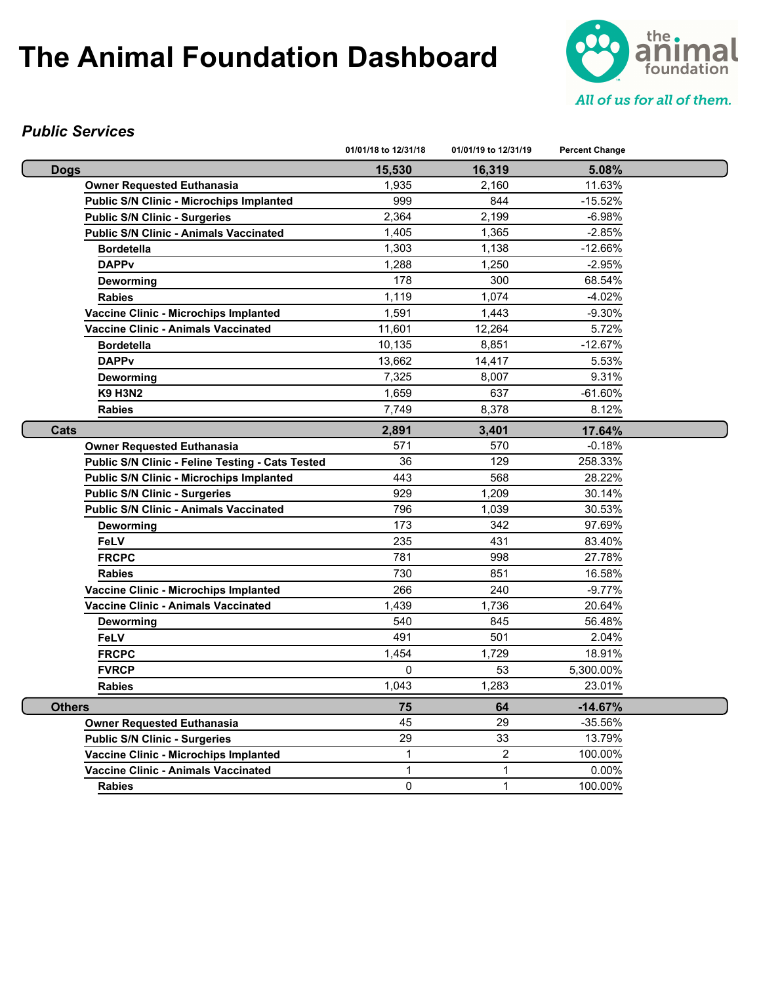

#### *Public Services*

|                                                  | 01/01/18 to 12/31/18 | 01/01/19 to 12/31/19 | <b>Percent Change</b> |  |
|--------------------------------------------------|----------------------|----------------------|-----------------------|--|
| <b>Dogs</b>                                      | 15,530               | 16,319               | 5.08%                 |  |
| <b>Owner Requested Euthanasia</b>                | 1,935                | 2,160                | 11.63%                |  |
| <b>Public S/N Clinic - Microchips Implanted</b>  | 999                  | 844                  | $-15.52%$             |  |
| <b>Public S/N Clinic - Surgeries</b>             | 2,364                | 2,199                | $-6.98%$              |  |
| <b>Public S/N Clinic - Animals Vaccinated</b>    | 1,405                | 1,365                | $-2.85%$              |  |
| <b>Bordetella</b>                                | 1,303                | 1,138                | $-12.66%$             |  |
| <b>DAPPv</b>                                     | 1.288                | 1,250                | $-2.95%$              |  |
| Deworming                                        | 178                  | 300                  | 68.54%                |  |
| <b>Rabies</b>                                    | 1,119                | 1.074                | $-4.02%$              |  |
| <b>Vaccine Clinic - Microchips Implanted</b>     | 1,591                | 1,443                | $-9.30%$              |  |
| <b>Vaccine Clinic - Animals Vaccinated</b>       | 11,601               | 12,264               | 5.72%                 |  |
| <b>Bordetella</b>                                | 10,135               | 8,851                | $-12.67%$             |  |
| <b>DAPPv</b>                                     | 13,662               | 14,417               | 5.53%                 |  |
| Deworming                                        | 7,325                | 8,007                | 9.31%                 |  |
| <b>K9 H3N2</b>                                   | 1,659                | 637                  | $-61.60%$             |  |
| <b>Rabies</b>                                    | 7,749                | 8,378                | 8.12%                 |  |
| Cats                                             | 2,891                | 3,401                | 17.64%                |  |
| <b>Owner Requested Euthanasia</b>                | 571                  | 570                  | $-0.18%$              |  |
| Public S/N Clinic - Feline Testing - Cats Tested | 36                   | 129                  | 258.33%               |  |
| <b>Public S/N Clinic - Microchips Implanted</b>  | 443                  | 568                  | 28.22%                |  |
| <b>Public S/N Clinic - Surgeries</b>             | 929                  | 1,209                | 30.14%                |  |
| <b>Public S/N Clinic - Animals Vaccinated</b>    | 796                  | 1,039                | 30.53%                |  |
| Deworming                                        | 173                  | 342                  | 97.69%                |  |
| <b>FeLV</b>                                      | 235                  | 431                  | 83.40%                |  |
| <b>FRCPC</b>                                     | 781                  | 998                  | 27.78%                |  |
| <b>Rabies</b>                                    | 730                  | 851                  | 16.58%                |  |
| Vaccine Clinic - Microchips Implanted            | 266                  | 240                  | $-9.77%$              |  |
| Vaccine Clinic - Animals Vaccinated              | 1,439                | 1,736                | 20.64%                |  |
| Deworming                                        | 540                  | 845                  | 56.48%                |  |
| FeLV                                             | 491                  | 501                  | 2.04%                 |  |
| <b>FRCPC</b>                                     | 1,454                | 1,729                | 18.91%                |  |
| <b>FVRCP</b>                                     | 0                    | 53                   | 5,300.00%             |  |
| <b>Rabies</b>                                    | 1,043                | 1,283                | 23.01%                |  |
| <b>Others</b>                                    | 75                   | 64                   | -14.67%               |  |
| <b>Owner Requested Euthanasia</b>                | 45                   | 29                   | $-35.56%$             |  |
| <b>Public S/N Clinic - Surgeries</b>             | 29                   | 33                   | 13.79%                |  |
| Vaccine Clinic - Microchips Implanted            | $\mathbf{1}$         | $\overline{2}$       | 100.00%               |  |
| <b>Vaccine Clinic - Animals Vaccinated</b>       | $\mathbf{1}$         | 1                    | $0.00\%$              |  |
| <b>Rabies</b>                                    | 0                    | 1                    | 100.00%               |  |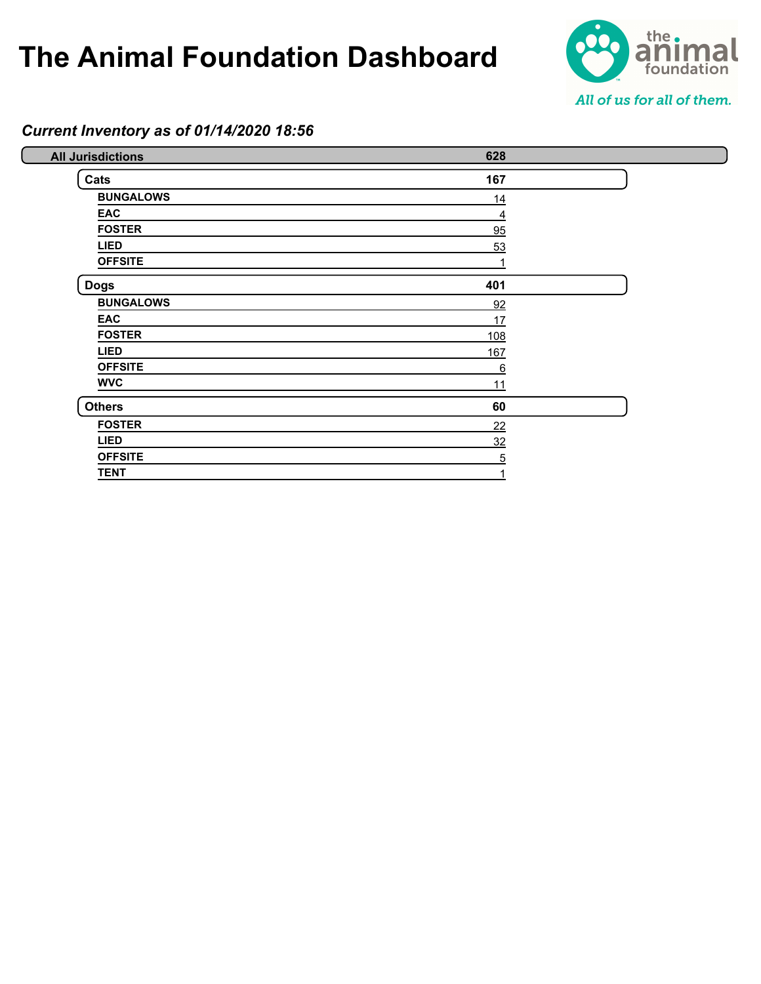

#### *Current Inventory as of 01/14/2020 18:56*

| <b>All Jurisdictions</b> | 628        |  |
|--------------------------|------------|--|
| Cats                     | 167        |  |
| <b>BUNGALOWS</b>         | 14         |  |
| <b>EAC</b>               | 4          |  |
| <b>FOSTER</b>            | 95         |  |
| <b>LIED</b>              | 53         |  |
| <b>OFFSITE</b>           |            |  |
| <b>Dogs</b>              | 401        |  |
| <b>BUNGALOWS</b>         | 92         |  |
| <b>EAC</b>               | 17         |  |
| <b>FOSTER</b>            | <u>108</u> |  |
| <b>LIED</b>              | 167        |  |
| <b>OFFSITE</b>           | 6          |  |
| <b>WVC</b>               | 11         |  |
| <b>Others</b>            | 60         |  |
| <b>FOSTER</b>            | 22         |  |
| <b>LIED</b>              | 32         |  |
| <b>OFFSITE</b>           | 5          |  |
| <b>TENT</b>              |            |  |
|                          |            |  |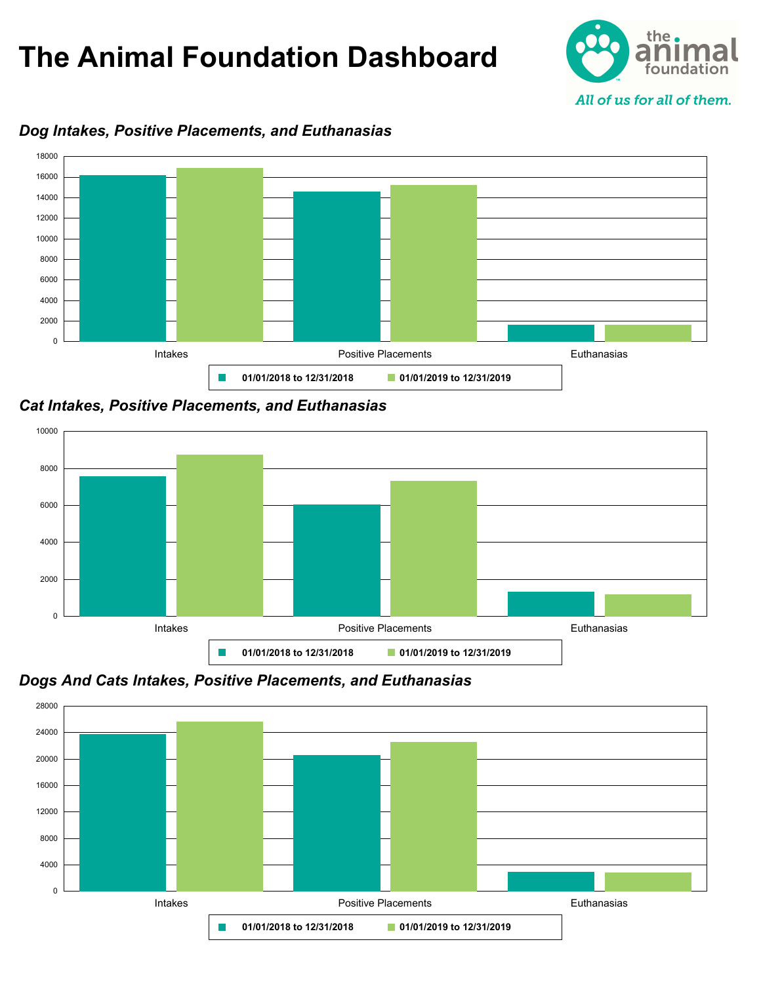



#### *Dog Intakes, Positive Placements, and Euthanasias*

*Cat Intakes, Positive Placements, and Euthanasias*



*Dogs And Cats Intakes, Positive Placements, and Euthanasias*

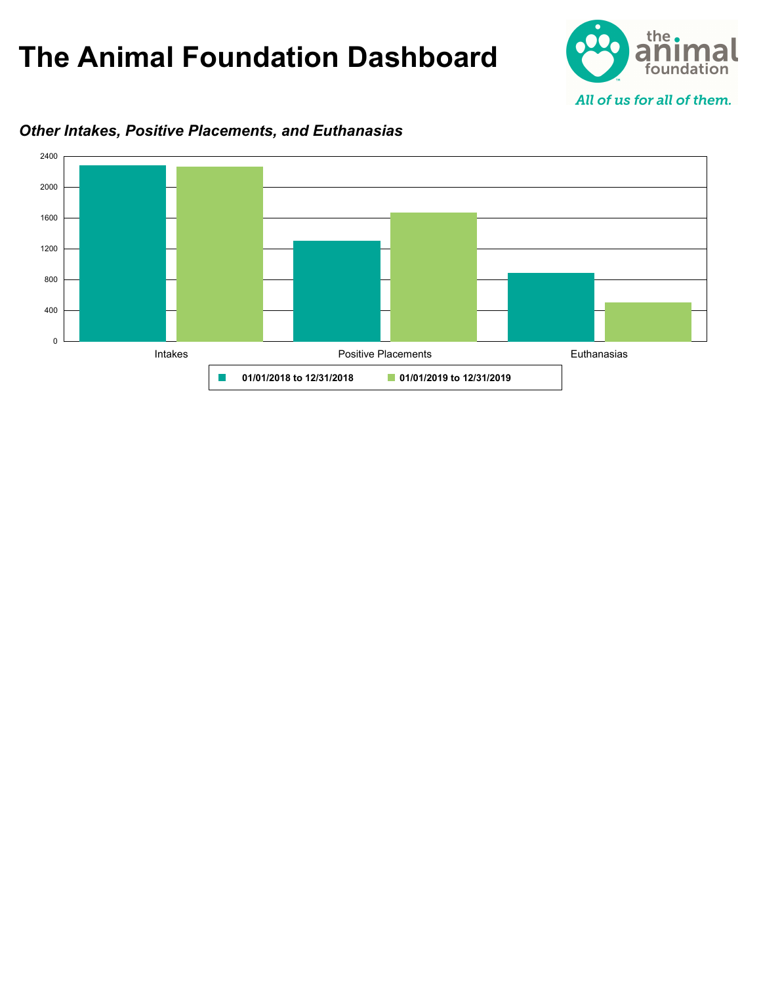



### *Other Intakes, Positive Placements, and Euthanasias*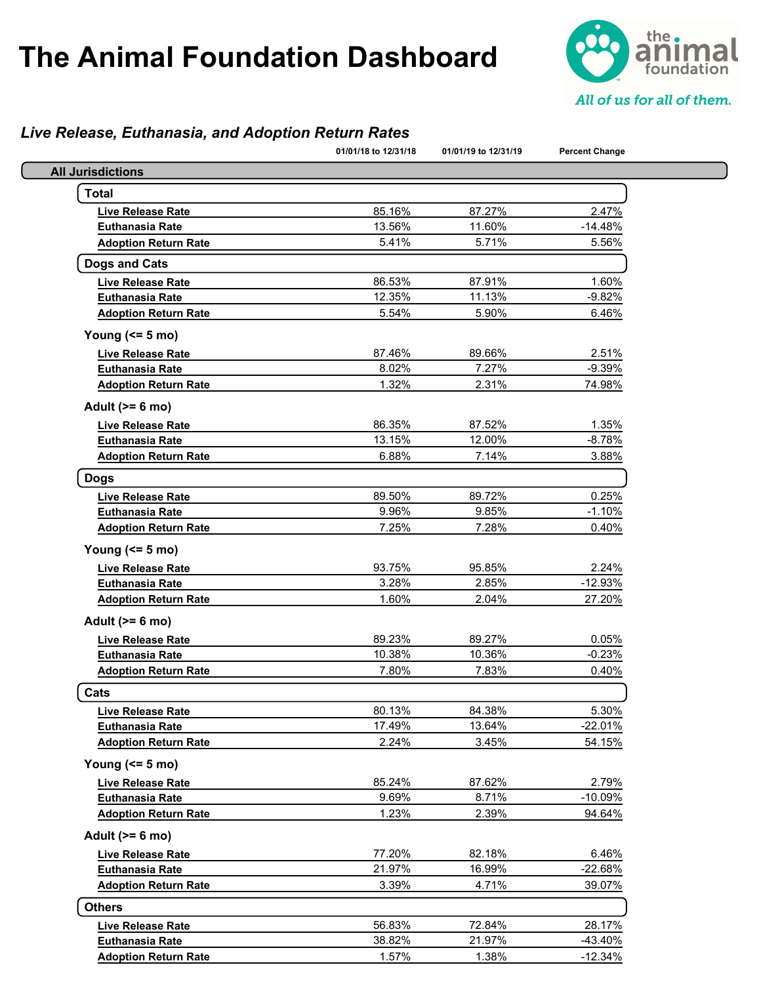

### *Live Release, Euthanasia, and Adoption Return Rates*

|                             | 01/01/18 to 12/31/18 | 01/01/19 to 12/31/19 | <b>Percent Change</b> |
|-----------------------------|----------------------|----------------------|-----------------------|
| <b>All Jurisdictions</b>    |                      |                      |                       |
| <b>Total</b>                |                      |                      |                       |
| <b>Live Release Rate</b>    | 85.16%               | 87.27%               | 2.47%                 |
| <b>Euthanasia Rate</b>      | 13.56%               | 11.60%               | $-14.48%$             |
| <b>Adoption Return Rate</b> | 5.41%                | 5.71%                | 5.56%                 |
| <b>Dogs and Cats</b>        |                      |                      |                       |
| <b>Live Release Rate</b>    | 86.53%               | 87.91%               | 1.60%                 |
| <b>Euthanasia Rate</b>      | 12.35%               | 11.13%               | $-9.82%$              |
| <b>Adoption Return Rate</b> | 5.54%                | 5.90%                | 6.46%                 |
| Young $(55 m)$              |                      |                      |                       |
| <b>Live Release Rate</b>    | 87.46%               | 89.66%               | 2.51%                 |
| <b>Euthanasia Rate</b>      | 8.02%                | 7.27%                | $-9.39%$              |
| <b>Adoption Return Rate</b> | 1.32%                | 2.31%                | 74.98%                |
| Adult $(>= 6$ mo)           |                      |                      |                       |
| <b>Live Release Rate</b>    | 86.35%               | 87.52%               | 1.35%                 |
| <b>Euthanasia Rate</b>      | 13.15%               | 12.00%               | $-8.78%$              |
| <b>Adoption Return Rate</b> | 6.88%                | 7.14%                | 3.88%                 |
| <b>Dogs</b>                 |                      |                      |                       |
| <b>Live Release Rate</b>    | 89.50%               | 89.72%               | 0.25%                 |
| <b>Euthanasia Rate</b>      | 9.96%                | 9.85%                | $-1.10%$              |
| <b>Adoption Return Rate</b> | 7.25%                | 7.28%                | 0.40%                 |
| Young $(55 \text{ mo})$     |                      |                      |                       |
| <b>Live Release Rate</b>    | 93.75%               | 95.85%               | 2.24%                 |
| <b>Euthanasia Rate</b>      | 3.28%                | 2.85%                | $-12.93%$             |
| <b>Adoption Return Rate</b> | 1.60%                | 2.04%                | 27.20%                |
| Adult $(>= 6$ mo)           |                      |                      |                       |
| <b>Live Release Rate</b>    | 89.23%               | 89.27%               | 0.05%                 |
| <b>Euthanasia Rate</b>      | 10.38%               | 10.36%               | $-0.23%$              |
| <b>Adoption Return Rate</b> | 7.80%                | 7.83%                | 0.40%                 |
| Cats                        |                      |                      |                       |
| Live Release Rate           | 80.13%               | 84.38%               | 5.30%                 |
| <b>Euthanasia Rate</b>      | 17.49%               | 13.64%               | $-22.01%$             |
| <b>Adoption Return Rate</b> | 2.24%                | 3.45%                | 54.15%                |
| Young $(55 m)$              |                      |                      |                       |
| Live Release Rate           | 85.24%               | 87.62%               | 2.79%                 |
| <b>Euthanasia Rate</b>      | 9.69%                | 8.71%                | $-10.09%$             |
| <b>Adoption Return Rate</b> | 1.23%                | 2.39%                | 94.64%                |
| Adult $(>= 6$ mo)           |                      |                      |                       |
| <b>Live Release Rate</b>    | 77.20%               | 82.18%               | 6.46%                 |
| <b>Euthanasia Rate</b>      | 21.97%               | 16.99%               | $-22.68%$             |
| <b>Adoption Return Rate</b> | 3.39%                | 4.71%                | 39.07%                |
| <b>Others</b>               |                      |                      |                       |
| Live Release Rate           | 56.83%               | 72.84%               | 28.17%                |
| <b>Euthanasia Rate</b>      | 38.82%               | 21.97%               | -43.40%               |
| <b>Adoption Return Rate</b> | 1.57%                | 1.38%                | $-12.34%$             |
|                             |                      |                      |                       |